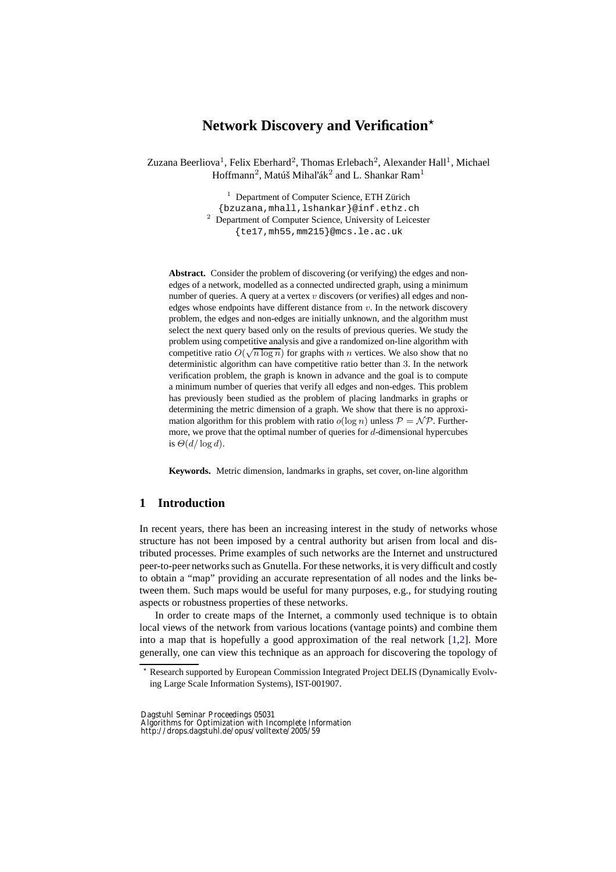# **Network Discovery and Verification**?

Zuzana Beerliova<sup>1</sup>, Felix Eberhard<sup>2</sup>, Thomas Erlebach<sup>2</sup>, Alexander Hall<sup>1</sup>, Michael Hoffmann<sup>2</sup>, Matúš Mihal'ák<sup>2</sup> and L. Shankar Ram<sup>1</sup>

> <sup>1</sup> Department of Computer Science, ETH Zürich {bzuzana,mhall,lshankar}@inf.ethz.ch <sup>2</sup> Department of Computer Science, University of Leicester {te17,mh55,mm215}@mcs.le.ac.uk

**Abstract.** Consider the problem of discovering (or verifying) the edges and nonedges of a network, modelled as a connected undirected graph, using a minimum number of queries. A query at a vertex  $v$  discovers (or verifies) all edges and nonedges whose endpoints have different distance from  $v$ . In the network discovery problem, the edges and non-edges are initially unknown, and the algorithm must select the next query based only on the results of previous queries. We study the problem using competitive analysis and give a randomized on-line algorithm with competitive ratio  $O(\sqrt{n \log n})$  for graphs with *n* vertices. We also show that no deterministic algorithm can have competitive ratio better than 3. In the network verification problem, the graph is known in advance and the goal is to compute a minimum number of queries that verify all edges and non-edges. This problem has previously been studied as the problem of placing landmarks in graphs or determining the metric dimension of a graph. We show that there is no approximation algorithm for this problem with ratio  $o(\log n)$  unless  $P = \mathcal{NP}$ . Furthermore, we prove that the optimal number of queries for  $d$ -dimensional hypercubes is  $\Theta(d/\log d)$ .

**Keywords.** Metric dimension, landmarks in graphs, set cover, on-line algorithm

## **1 Introduction**

In recent years, there has been an increasing interest in the study of networks whose structure has not been imposed by a central authority but arisen from local and distributed processes. Prime examples of such networks are the Internet and unstructured peer-to-peer networkssuch as Gnutella. For these networks, it is very difficult and costly to obtain a "map" providing an accurate representation of all nodes and the links between them. Such maps would be useful for many purposes, e.g., for studying routing aspects or robustness properties of these networks.

In order to create maps of the Internet, a commonly used technique is to obtain local views of the network from various locations (vantage points) and combine them into a map that is hopefully a good approximation of the real network [1,2]. More generally, one can view this technique as an approach for discovering the topology of

Dagstuhl Seminar Proceedings 05031

Algorithms for Optimization with Incomplete Information http://drops.dagstuhl.de/opus/volltexte/2005/59

<sup>?</sup> Research supported by European Commission Integrated Project DELIS (Dynamically Evolving Large Scale Information Systems), IST-001907.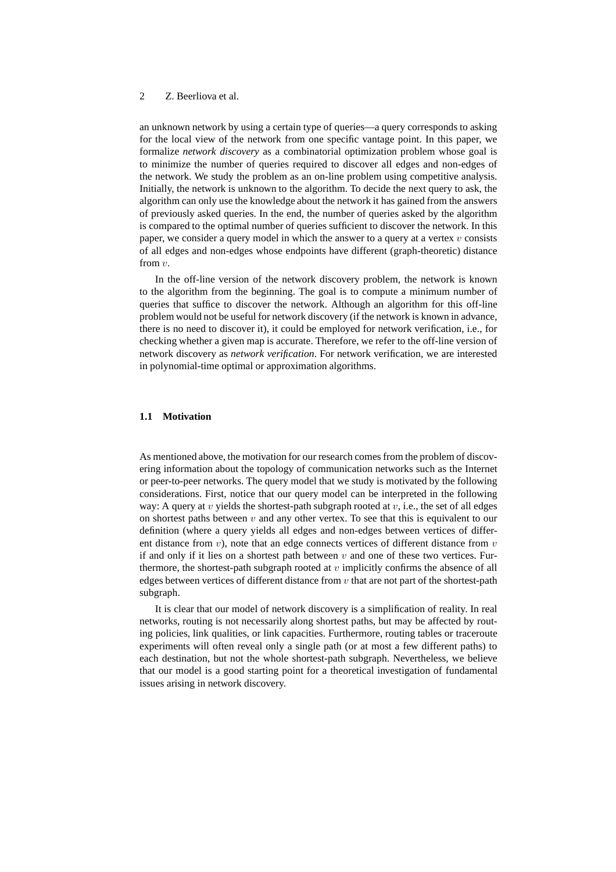## 2 Z. Beerliova et al.

an unknown network by using a certain type of queries—a query corresponds to asking for the local view of the network from one specific vantage point. In this paper, we formalize *network discovery* as a combinatorial optimization problem whose goal is to minimize the number of queries required to discover all edges and non-edges of the network. We study the problem as an on-line problem using competitive analysis. Initially, the network is unknown to the algorithm. To decide the next query to ask, the algorithm can only use the knowledge about the network it has gained from the answers of previously asked queries. In the end, the number of queries asked by the algorithm is compared to the optimal number of queries sufficient to discover the network. In this paper, we consider a query model in which the answer to a query at a vertex  $v$  consists of all edges and non-edges whose endpoints have different (graph-theoretic) distance from v.

In the off-line version of the network discovery problem, the network is known to the algorithm from the beginning. The goal is to compute a minimum number of queries that suffice to discover the network. Although an algorithm for this off-line problem would not be useful for network discovery (if the network is known in advance, there is no need to discover it), it could be employed for network verification, i.e., for checking whether a given map is accurate. Therefore, we refer to the off-line version of network discovery as *network verification*. For network verification, we are interested in polynomial-time optimal or approximation algorithms.

## **1.1 Motivation**

As mentioned above, the motivation for our research comes from the problem of discovering information about the topology of communication networks such as the Internet or peer-to-peer networks. The query model that we study is motivated by the following considerations. First, notice that our query model can be interpreted in the following way: A query at v yields the shortest-path subgraph rooted at v, i.e., the set of all edges on shortest paths between  $v$  and any other vertex. To see that this is equivalent to our definition (where a query yields all edges and non-edges between vertices of different distance from  $v$ ), note that an edge connects vertices of different distance from  $v$ if and only if it lies on a shortest path between  $v$  and one of these two vertices. Furthermore, the shortest-path subgraph rooted at  $v$  implicitly confirms the absence of all edges between vertices of different distance from  $v$  that are not part of the shortest-path subgraph.

It is clear that our model of network discovery is a simplification of reality. In real networks, routing is not necessarily along shortest paths, but may be affected by routing policies, link qualities, or link capacities. Furthermore, routing tables or traceroute experiments will often reveal only a single path (or at most a few different paths) to each destination, but not the whole shortest-path subgraph. Nevertheless, we believe that our model is a good starting point for a theoretical investigation of fundamental issues arising in network discovery.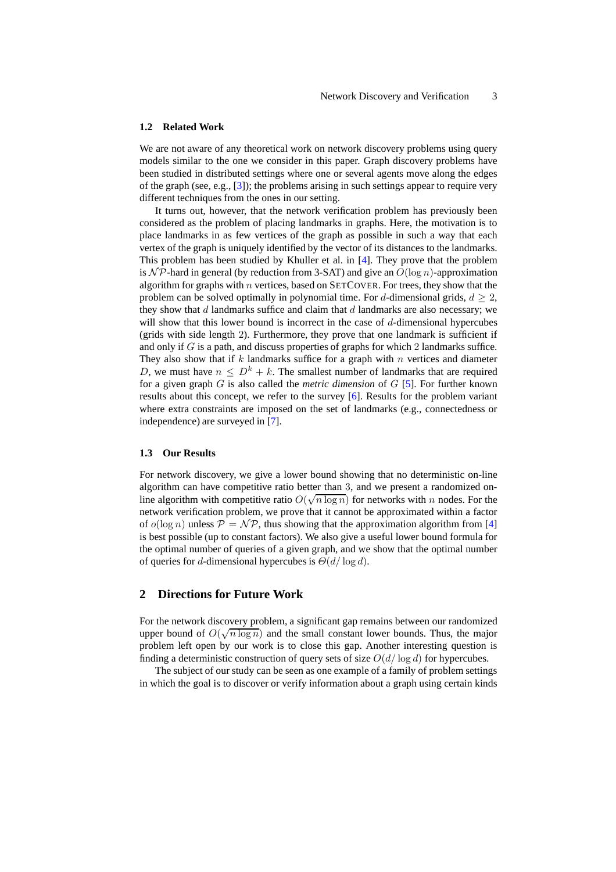#### **1.2 Related Work**

We are not aware of any theoretical work on network discovery problems using query models similar to the one we consider in this paper. Graph discovery problems have been studied in distributed settings where one or several agents move along the edges of the graph (see, e.g., [3]); the problems arising in such settings appear to require very different techniques from the ones in our setting.

It turns out, however, that the network verification problem has previously been considered as the problem of placing landmarks in graphs. Here, the motivation is to place landmarks in as few vertices of the graph as possible in such a way that each vertex of the graph is uniquely identified by the vector of its distances to the landmarks. This problem has been studied by Khuller et al. in [4]. They prove that the problem is  $N \mathcal{P}$ -hard in general (by reduction from 3-SAT) and give an  $O(\log n)$ -approximation algorithm for graphs with n vertices, based on SETCOVER. For trees, they show that the problem can be solved optimally in polynomial time. For d-dimensional grids,  $d \geq 2$ , they show that  $d$  landmarks suffice and claim that  $d$  landmarks are also necessary; we will show that this lower bound is incorrect in the case of  $d$ -dimensional hypercubes (grids with side length 2). Furthermore, they prove that one landmark is sufficient if and only if  $G$  is a path, and discuss properties of graphs for which 2 landmarks suffice. They also show that if k landmarks suffice for a graph with  $n$  vertices and diameter D, we must have  $n \leq D^k + k$ . The smallest number of landmarks that are required for a given graph G is also called the *metric dimension* of G [5]. For further known results about this concept, we refer to the survey [6]. Results for the problem variant where extra constraints are imposed on the set of landmarks (e.g., connectedness or independence) are surveyed in [7].

### **1.3 Our Results**

For network discovery, we give a lower bound showing that no deterministic on-line algorithm can have competitive ratio better than 3, and we present a randomized online algorithm with competitive ratio  $O(\sqrt{n \log n})$  for networks with n nodes. For the network verification problem, we prove that it cannot be approximated within a factor of  $o(\log n)$  unless  $P = \mathcal{NP}$ , thus showing that the approximation algorithm from [4] is best possible (up to constant factors). We also give a useful lower bound formula for the optimal number of queries of a given graph, and we show that the optimal number of queries for d-dimensional hypercubes is  $\Theta(d/\log d)$ .

## **2 Directions for Future Work**

For the network discovery problem, a significant gap remains between our randomized upper bound of  $O(\sqrt{n \log n})$  and the small constant lower bounds. Thus, the major problem left open by our work is to close this gap. Another interesting question is finding a deterministic construction of query sets of size  $O(d/\log d)$  for hypercubes.

The subject of our study can be seen as one example of a family of problem settings in which the goal is to discover or verify information about a graph using certain kinds